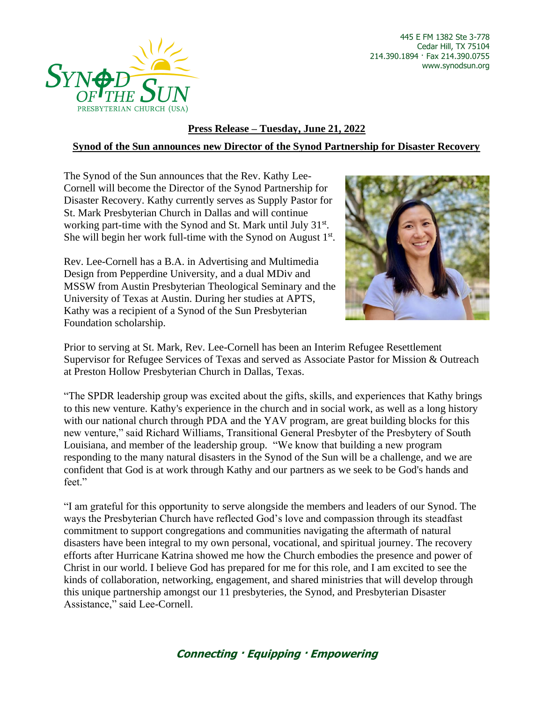

445 E FM 1382 Ste 3-778 Cedar Hill, TX 75104 214.390.1894 · Fax 214.390.0755 www.synodsun.org

## **Press Release – Tuesday, June 21, 2022 Synod of the Sun announces new Director of the Synod Partnership for Disaster Recovery**

The Synod of the Sun announces that the Rev. Kathy Lee-Cornell will become the Director of the Synod Partnership for Disaster Recovery. Kathy currently serves as Supply Pastor for St. Mark Presbyterian Church in Dallas and will continue working part-time with the Synod and St. Mark until July 31<sup>st</sup>. She will begin her work full-time with the Synod on August 1st.

Rev. Lee-Cornell has a B.A. in Advertising and Multimedia Design from Pepperdine University, and a dual MDiv and MSSW from Austin Presbyterian Theological Seminary and the University of Texas at Austin. During her studies at APTS, Kathy was a recipient of a Synod of the Sun Presbyterian Foundation scholarship.



Prior to serving at St. Mark, Rev. Lee-Cornell has been an Interim Refugee Resettlement Supervisor for Refugee Services of Texas and served as Associate Pastor for Mission & Outreach at Preston Hollow Presbyterian Church in Dallas, Texas.

"The SPDR leadership group was excited about the gifts, skills, and experiences that Kathy brings to this new venture. Kathy's experience in the church and in social work, as well as a long history with our national church through PDA and the YAV program, are great building blocks for this new venture," said Richard Williams, Transitional General Presbyter of the Presbytery of South Louisiana, and member of the leadership group. "We know that building a new program responding to the many natural disasters in the Synod of the Sun will be a challenge, and we are confident that God is at work through Kathy and our partners as we seek to be God's hands and feet."

"I am grateful for this opportunity to serve alongside the members and leaders of our Synod. The ways the Presbyterian Church have reflected God's love and compassion through its steadfast commitment to support congregations and communities navigating the aftermath of natural disasters have been integral to my own personal, vocational, and spiritual journey. The recovery efforts after Hurricane Katrina showed me how the Church embodies the presence and power of Christ in our world. I believe God has prepared for me for this role, and I am excited to see the kinds of collaboration, networking, engagement, and shared ministries that will develop through this unique partnership amongst our 11 presbyteries, the Synod, and Presbyterian Disaster Assistance," said Lee-Cornell.

## **Connecting · Equipping · Empowering**